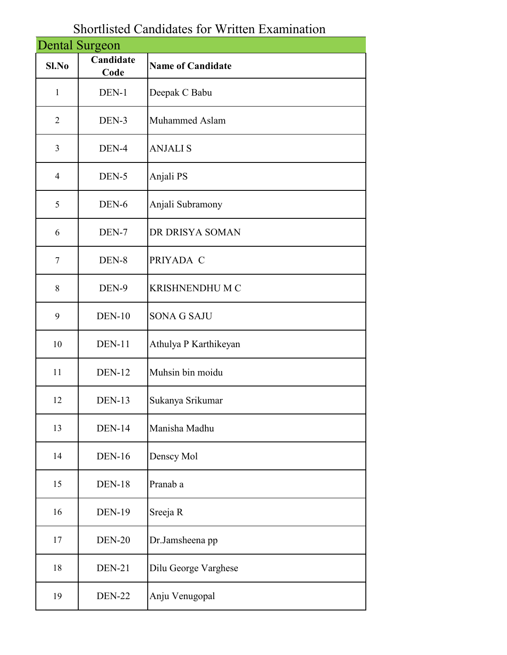| <b>Dental Surgeon</b> |                   |                          |
|-----------------------|-------------------|--------------------------|
| $Sl$ . No             | Candidate<br>Code | <b>Name of Candidate</b> |
| 1                     | DEN-1             | Deepak C Babu            |
| $\overline{2}$        | DEN-3             | Muhammed Aslam           |
| $\mathfrak{Z}$        | DEN-4             | <b>ANJALIS</b>           |
| $\overline{4}$        | DEN-5             | Anjali PS                |
| 5                     | DEN-6             | Anjali Subramony         |
| 6                     | DEN-7             | DR DRISYA SOMAN          |
| 7                     | DEN-8             | PRIYADA C                |
| 8                     | DEN-9             | <b>KRISHNENDHU M C</b>   |
| 9                     | $DEN-10$          | <b>SONA G SAJU</b>       |
| 10                    | <b>DEN-11</b>     | Athulya P Karthikeyan    |
| 11                    | <b>DEN-12</b>     | Muhsin bin moidu         |
| 12                    | <b>DEN-13</b>     | Sukanya Srikumar         |
| 13                    | <b>DEN-14</b>     | Manisha Madhu            |
| 14                    | <b>DEN-16</b>     | Denscy Mol               |
| 15                    | <b>DEN-18</b>     | Pranab a                 |
| 16                    | <b>DEN-19</b>     | Sreeja R                 |
| 17                    | <b>DEN-20</b>     | Dr.Jamsheena pp          |
| 18                    | <b>DEN-21</b>     | Dilu George Varghese     |
| 19                    | <b>DEN-22</b>     | Anju Venugopal           |

## Shortlisted Candidates for Written Examination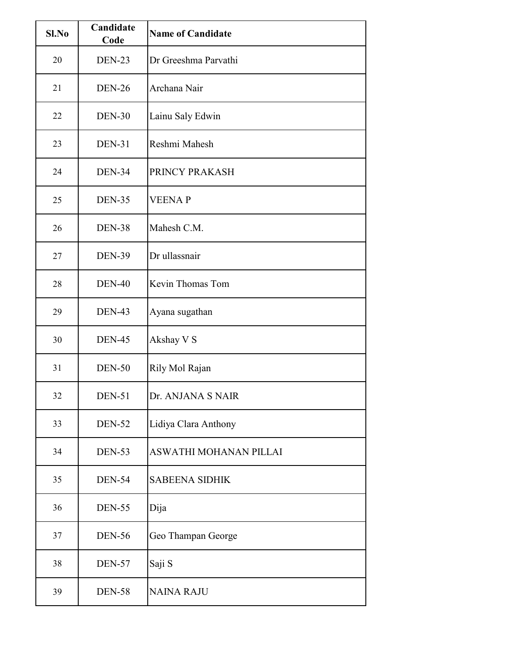| S1.No | Candidate<br>Code | <b>Name of Candidate</b> |
|-------|-------------------|--------------------------|
| 20    | DEN-23            | Dr Greeshma Parvathi     |
| 21    | <b>DEN-26</b>     | Archana Nair             |
| 22    | <b>DEN-30</b>     | Lainu Saly Edwin         |
| 23    | <b>DEN-31</b>     | Reshmi Mahesh            |
| 24    | <b>DEN-34</b>     | PRINCY PRAKASH           |
| 25    | <b>DEN-35</b>     | <b>VEENAP</b>            |
| 26    | <b>DEN-38</b>     | Mahesh C.M.              |
| 27    | <b>DEN-39</b>     | Dr ullassnair            |
| 28    | <b>DEN-40</b>     | Kevin Thomas Tom         |
| 29    | <b>DEN-43</b>     | Ayana sugathan           |
| 30    | <b>DEN-45</b>     | Akshay V S               |
| 31    | <b>DEN-50</b>     | Rily Mol Rajan           |
| 32    | <b>DEN-51</b>     | Dr. ANJANA S NAIR        |
| 33    | <b>DEN-52</b>     | Lidiya Clara Anthony     |
| 34    | <b>DEN-53</b>     | ASWATHI MOHANAN PILLAI   |
| 35    | <b>DEN-54</b>     | <b>SABEENA SIDHIK</b>    |
| 36    | <b>DEN-55</b>     | Dija                     |
| 37    | <b>DEN-56</b>     | Geo Thampan George       |
| 38    | <b>DEN-57</b>     | Saji S                   |
| 39    | <b>DEN-58</b>     | <b>NAINA RAJU</b>        |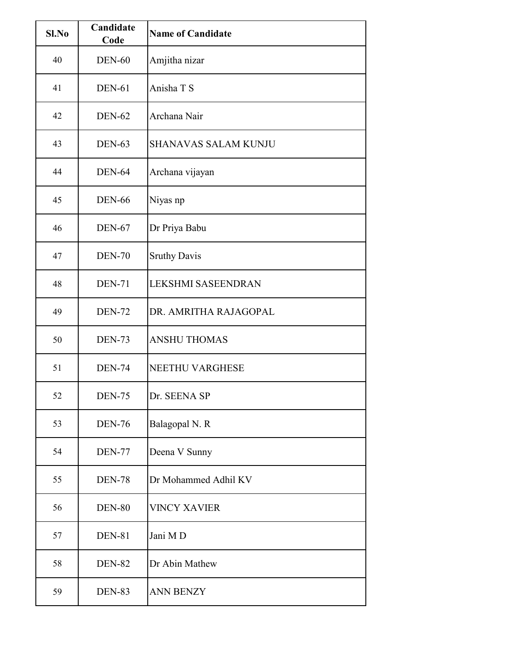| Sl.No | Candidate<br>Code | <b>Name of Candidate</b>    |
|-------|-------------------|-----------------------------|
| 40    | <b>DEN-60</b>     | Amjitha nizar               |
| 41    | <b>DEN-61</b>     | Anisha T S                  |
| 42    | <b>DEN-62</b>     | Archana Nair                |
| 43    | <b>DEN-63</b>     | <b>SHANAVAS SALAM KUNJU</b> |
| 44    | <b>DEN-64</b>     | Archana vijayan             |
| 45    | <b>DEN-66</b>     | Niyas np                    |
| 46    | <b>DEN-67</b>     | Dr Priya Babu               |
| 47    | <b>DEN-70</b>     | <b>Sruthy Davis</b>         |
| 48    | <b>DEN-71</b>     | <b>LEKSHMI SASEENDRAN</b>   |
| 49    | <b>DEN-72</b>     | DR. AMRITHA RAJAGOPAL       |
| 50    | <b>DEN-73</b>     | <b>ANSHU THOMAS</b>         |
| 51    | <b>DEN-74</b>     | <b>NEETHU VARGHESE</b>      |
| 52    | <b>DEN-75</b>     | Dr. SEENA SP                |
| 53    | <b>DEN-76</b>     | Balagopal N. R              |
| 54    | <b>DEN-77</b>     | Deena V Sunny               |
| 55    | <b>DEN-78</b>     | Dr Mohammed Adhil KV        |
| 56    | <b>DEN-80</b>     | <b>VINCY XAVIER</b>         |
| 57    | <b>DEN-81</b>     | Jani MD                     |
| 58    | <b>DEN-82</b>     | Dr Abin Mathew              |
| 59    | <b>DEN-83</b>     | <b>ANN BENZY</b>            |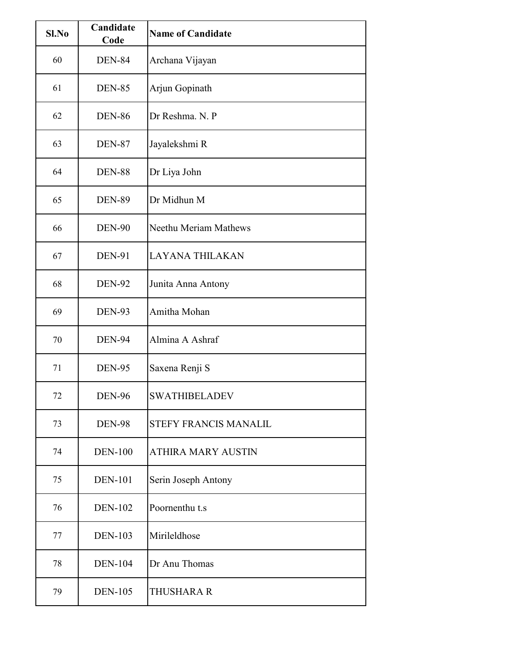| Sl.No | Candidate<br>Code | <b>Name of Candidate</b>  |
|-------|-------------------|---------------------------|
| 60    | <b>DEN-84</b>     | Archana Vijayan           |
| 61    | <b>DEN-85</b>     | Arjun Gopinath            |
| 62    | <b>DEN-86</b>     | Dr Reshma, N. P           |
| 63    | <b>DEN-87</b>     | Jayalekshmi R             |
| 64    | <b>DEN-88</b>     | Dr Liya John              |
| 65    | <b>DEN-89</b>     | Dr Midhun M               |
| 66    | <b>DEN-90</b>     | Neethu Meriam Mathews     |
| 67    | <b>DEN-91</b>     | <b>LAYANA THILAKAN</b>    |
| 68    | <b>DEN-92</b>     | Junita Anna Antony        |
| 69    | <b>DEN-93</b>     | Amitha Mohan              |
| 70    | <b>DEN-94</b>     | Almina A Ashraf           |
| 71    | <b>DEN-95</b>     | Saxena Renji S            |
| 72    | <b>DEN-96</b>     | <b>SWATHIBELADEV</b>      |
| 73    | <b>DEN-98</b>     | STEFY FRANCIS MANALIL     |
| 74    | <b>DEN-100</b>    | <b>ATHIRA MARY AUSTIN</b> |
| 75    | <b>DEN-101</b>    | Serin Joseph Antony       |
| 76    | <b>DEN-102</b>    | Poornenthu t.s            |
| 77    | <b>DEN-103</b>    | Mirileldhose              |
| 78    | <b>DEN-104</b>    | Dr Anu Thomas             |
| 79    | <b>DEN-105</b>    | <b>THUSHARA R</b>         |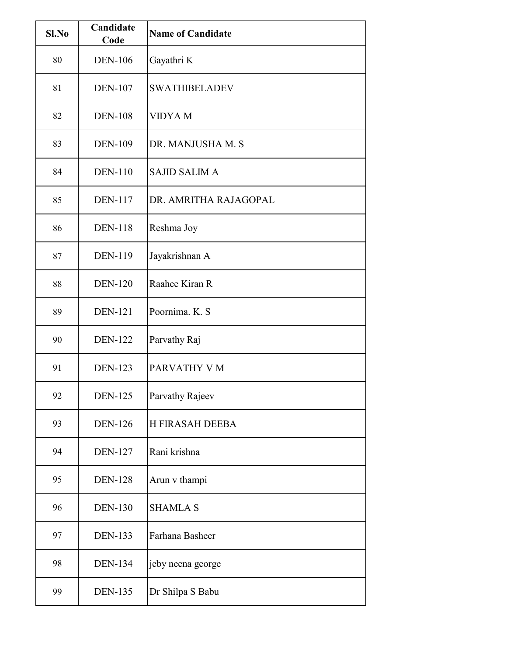| S1.No | Candidate<br>Code | <b>Name of Candidate</b> |
|-------|-------------------|--------------------------|
| 80    | <b>DEN-106</b>    | Gayathri K               |
| 81    | <b>DEN-107</b>    | <b>SWATHIBELADEV</b>     |
| 82    | <b>DEN-108</b>    | <b>VIDYA M</b>           |
| 83    | <b>DEN-109</b>    | DR. MANJUSHA M. S        |
| 84    | <b>DEN-110</b>    | <b>SAJID SALIM A</b>     |
| 85    | <b>DEN-117</b>    | DR. AMRITHA RAJAGOPAL    |
| 86    | <b>DEN-118</b>    | Reshma Joy               |
| 87    | <b>DEN-119</b>    | Jayakrishnan A           |
| 88    | <b>DEN-120</b>    | Raahee Kiran R           |
| 89    | <b>DEN-121</b>    | Poornima. K. S.          |
| 90    | <b>DEN-122</b>    | Parvathy Raj             |
| 91    | <b>DEN-123</b>    | PARVATHY V M             |
| 92    | <b>DEN-125</b>    | Parvathy Rajeev          |
| 93    | <b>DEN-126</b>    | H FIRASAH DEEBA          |
| 94    | <b>DEN-127</b>    | Rani krishna             |
| 95    | <b>DEN-128</b>    | Arun v thampi            |
| 96    | <b>DEN-130</b>    | <b>SHAMLA S</b>          |
| 97    | <b>DEN-133</b>    | Farhana Basheer          |
| 98    | <b>DEN-134</b>    | jeby neena george        |
| 99    | <b>DEN-135</b>    | Dr Shilpa S Babu         |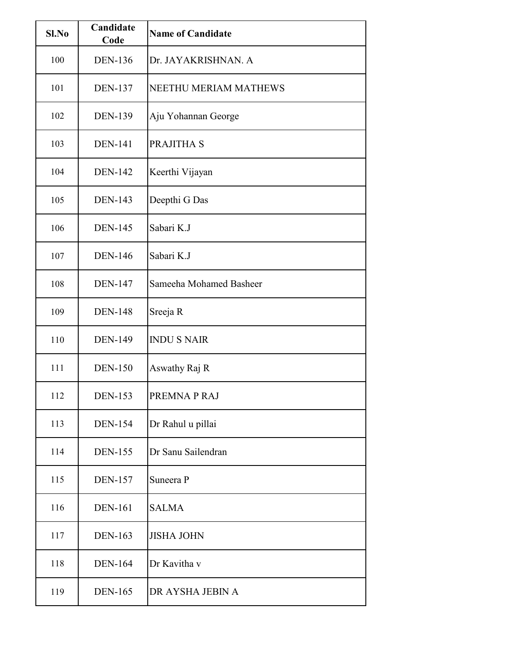| Sl.No | Candidate<br>Code | <b>Name of Candidate</b> |
|-------|-------------------|--------------------------|
| 100   | <b>DEN-136</b>    | Dr. JAYAKRISHNAN. A      |
| 101   | <b>DEN-137</b>    | NEETHU MERIAM MATHEWS    |
| 102   | <b>DEN-139</b>    | Aju Yohannan George      |
| 103   | <b>DEN-141</b>    | PRAJITHA S               |
| 104   | <b>DEN-142</b>    | Keerthi Vijayan          |
| 105   | <b>DEN-143</b>    | Deepthi G Das            |
| 106   | <b>DEN-145</b>    | Sabari K.J               |
| 107   | <b>DEN-146</b>    | Sabari K.J               |
| 108   | <b>DEN-147</b>    | Sameeha Mohamed Basheer  |
| 109   | <b>DEN-148</b>    | Sreeja R                 |
| 110   | <b>DEN-149</b>    | <b>INDUS NAIR</b>        |
| 111   | <b>DEN-150</b>    | Aswathy Raj R            |
| 112   | <b>DEN-153</b>    | PREMNA P RAJ             |
| 113   | <b>DEN-154</b>    | Dr Rahul u pillai        |
| 114   | <b>DEN-155</b>    | Dr Sanu Sailendran       |
| 115   | <b>DEN-157</b>    | Suneera P                |
| 116   | <b>DEN-161</b>    | <b>SALMA</b>             |
| 117   | <b>DEN-163</b>    | <b>JISHA JOHN</b>        |
| 118   | <b>DEN-164</b>    | Dr Kavitha v             |
| 119   | <b>DEN-165</b>    | DR AYSHA JEBIN A         |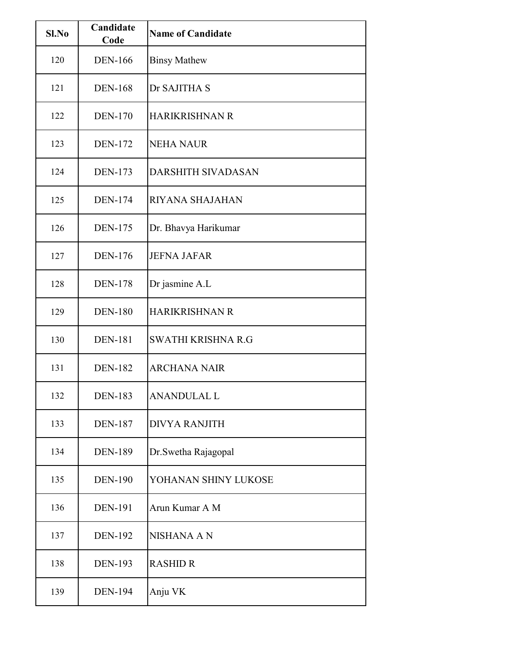| Sl.No | Candidate<br>Code | <b>Name of Candidate</b>  |
|-------|-------------------|---------------------------|
| 120   | <b>DEN-166</b>    | <b>Binsy Mathew</b>       |
| 121   | <b>DEN-168</b>    | Dr SAJITHA S              |
| 122   | <b>DEN-170</b>    | <b>HARIKRISHNAN R</b>     |
| 123   | <b>DEN-172</b>    | <b>NEHA NAUR</b>          |
| 124   | <b>DEN-173</b>    | <b>DARSHITH SIVADASAN</b> |
| 125   | <b>DEN-174</b>    | RIYANA SHAJAHAN           |
| 126   | <b>DEN-175</b>    | Dr. Bhavya Harikumar      |
| 127   | <b>DEN-176</b>    | <b>JEFNA JAFAR</b>        |
| 128   | <b>DEN-178</b>    | Dr jasmine A.L            |
| 129   | <b>DEN-180</b>    | <b>HARIKRISHNAN R</b>     |
| 130   | <b>DEN-181</b>    | <b>SWATHI KRISHNA R.G</b> |
| 131   | <b>DEN-182</b>    | <b>ARCHANA NAIR</b>       |
| 132   | <b>DEN-183</b>    | <b>ANANDULAL L</b>        |
| 133   | <b>DEN-187</b>    | <b>DIVYA RANJITH</b>      |
| 134   | <b>DEN-189</b>    | Dr.Swetha Rajagopal       |
| 135   | <b>DEN-190</b>    | YOHANAN SHINY LUKOSE      |
| 136   | <b>DEN-191</b>    | Arun Kumar A M            |
| 137   | <b>DEN-192</b>    | NISHANA A N               |
| 138   | <b>DEN-193</b>    | <b>RASHID R</b>           |
| 139   | <b>DEN-194</b>    | Anju VK                   |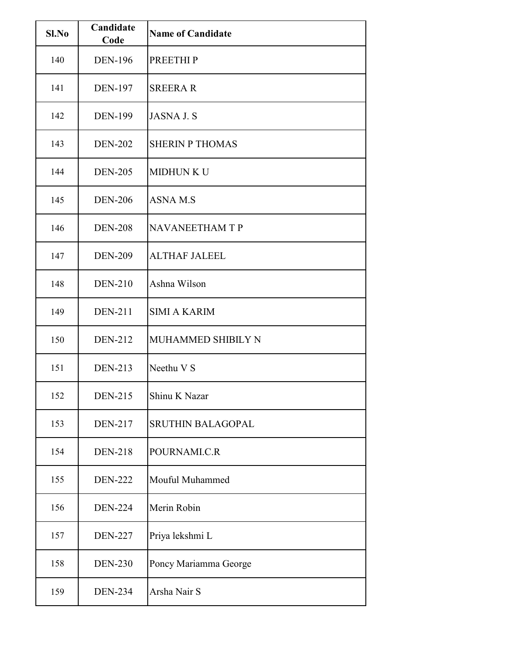| Sl.No | Candidate<br>Code | <b>Name of Candidate</b> |
|-------|-------------------|--------------------------|
| 140   | <b>DEN-196</b>    | <b>PREETHIP</b>          |
| 141   | <b>DEN-197</b>    | <b>SREERAR</b>           |
| 142   | <b>DEN-199</b>    | <b>JASNA J.S</b>         |
| 143   | <b>DEN-202</b>    | <b>SHERIN P THOMAS</b>   |
| 144   | <b>DEN-205</b>    | <b>MIDHUN K U</b>        |
| 145   | <b>DEN-206</b>    | <b>ASNAM.S</b>           |
| 146   | <b>DEN-208</b>    | <b>NAVANEETHAM T P</b>   |
| 147   | <b>DEN-209</b>    | <b>ALTHAF JALEEL</b>     |
| 148   | <b>DEN-210</b>    | Ashna Wilson             |
| 149   | <b>DEN-211</b>    | <b>SIMI A KARIM</b>      |
| 150   | <b>DEN-212</b>    | MUHAMMED SHIBILY N       |
| 151   | <b>DEN-213</b>    | Neethu V S               |
| 152   | <b>DEN-215</b>    | Shinu K Nazar            |
| 153   | <b>DEN-217</b>    | <b>SRUTHIN BALAGOPAL</b> |
| 154   | <b>DEN-218</b>    | POURNAMI.C.R             |
| 155   | <b>DEN-222</b>    | Mouful Muhammed          |
| 156   | <b>DEN-224</b>    | Merin Robin              |
| 157   | <b>DEN-227</b>    | Priya lekshmi L          |
| 158   | <b>DEN-230</b>    | Poncy Mariamma George    |
| 159   | <b>DEN-234</b>    | Arsha Nair S             |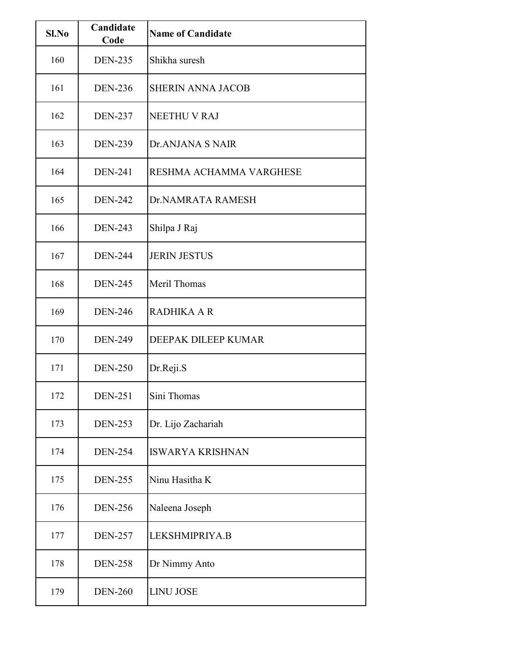| Sl.No | Candidate<br>Code | <b>Name of Candidate</b> |
|-------|-------------------|--------------------------|
| 160   | <b>DEN-235</b>    | Shikha suresh            |
| 161   | <b>DEN-236</b>    | <b>SHERIN ANNA JACOB</b> |
| 162   | <b>DEN-237</b>    | NEETHU V RAJ             |
| 163   | <b>DEN-239</b>    | Dr.ANJANA S NAIR         |
| 164   | <b>DEN-241</b>    | RESHMA ACHAMMA VARGHESE  |
| 165   | <b>DEN-242</b>    | Dr.NAMRATA RAMESH        |
| 166   | <b>DEN-243</b>    | Shilpa J Raj             |
| 167   | <b>DEN-244</b>    | <b>JERIN JESTUS</b>      |
| 168   | <b>DEN-245</b>    | Meril Thomas             |
| 169   | <b>DEN-246</b>    | <b>RADHIKA A R</b>       |
| 170   | <b>DEN-249</b>    | DEEPAK DILEEP KUMAR      |
| 171   | <b>DEN-250</b>    | Dr.Reji.S                |
| 172   | <b>DEN-251</b>    | Sini Thomas              |
| 173   | <b>DEN-253</b>    | Dr. Lijo Zachariah       |
| 174   | <b>DEN-254</b>    | <b>ISWARYA KRISHNAN</b>  |
| 175   | <b>DEN-255</b>    | Ninu Hasitha K           |
| 176   | <b>DEN-256</b>    | Naleena Joseph           |
| 177   | <b>DEN-257</b>    | LEKSHMIPRIYA.B           |
| 178   | <b>DEN-258</b>    | Dr Nimmy Anto            |
| 179   | <b>DEN-260</b>    | <b>LINU JOSE</b>         |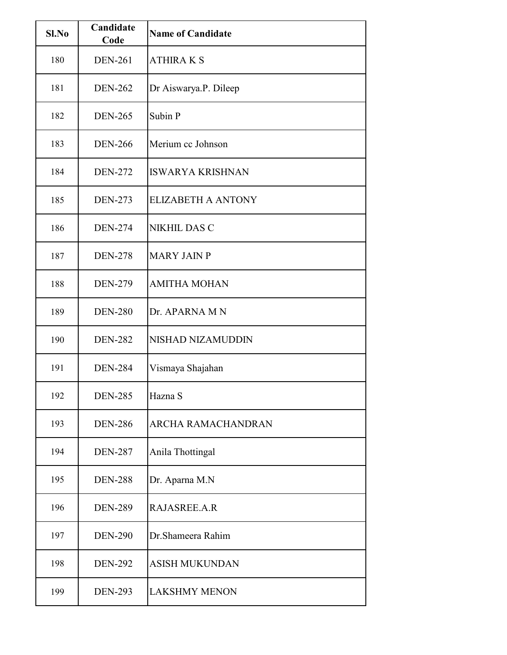| Sl.No | Candidate<br>Code | <b>Name of Candidate</b>  |
|-------|-------------------|---------------------------|
| 180   | <b>DEN-261</b>    | <b>ATHIRA K S</b>         |
| 181   | <b>DEN-262</b>    | Dr Aiswarya.P. Dileep     |
| 182   | <b>DEN-265</b>    | Subin P                   |
| 183   | <b>DEN-266</b>    | Merium cc Johnson         |
| 184   | <b>DEN-272</b>    | <b>ISWARYA KRISHNAN</b>   |
| 185   | <b>DEN-273</b>    | <b>ELIZABETH A ANTONY</b> |
| 186   | <b>DEN-274</b>    | <b>NIKHIL DAS C</b>       |
| 187   | <b>DEN-278</b>    | <b>MARY JAIN P</b>        |
| 188   | <b>DEN-279</b>    | <b>AMITHA MOHAN</b>       |
| 189   | <b>DEN-280</b>    | Dr. APARNA M N            |
| 190   | <b>DEN-282</b>    | NISHAD NIZAMUDDIN         |
| 191   | <b>DEN-284</b>    | Vismaya Shajahan          |
| 192   | <b>DEN-285</b>    | Hazna S                   |
| 193   | <b>DEN-286</b>    | <b>ARCHA RAMACHANDRAN</b> |
| 194   | <b>DEN-287</b>    | Anila Thottingal          |
| 195   | <b>DEN-288</b>    | Dr. Aparna M.N            |
| 196   | <b>DEN-289</b>    | RAJASREE.A.R              |
| 197   | <b>DEN-290</b>    | Dr.Shameera Rahim         |
| 198   | <b>DEN-292</b>    | <b>ASISH MUKUNDAN</b>     |
| 199   | <b>DEN-293</b>    | <b>LAKSHMY MENON</b>      |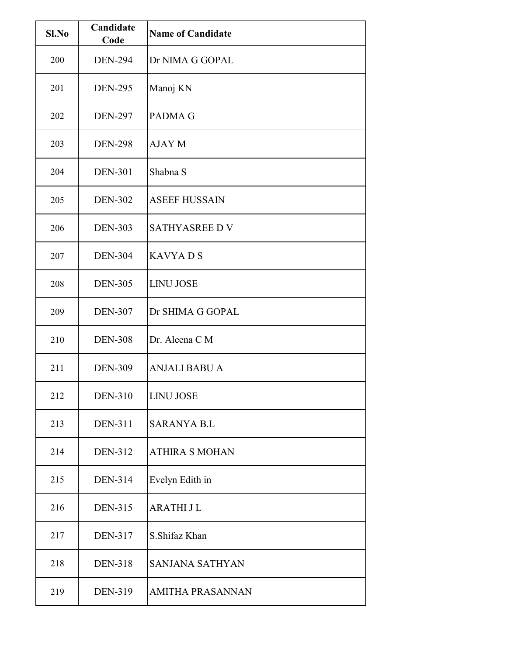| Sl.No | Candidate<br>Code | <b>Name of Candidate</b> |
|-------|-------------------|--------------------------|
| 200   | <b>DEN-294</b>    | Dr NIMA G GOPAL          |
| 201   | <b>DEN-295</b>    | Manoj KN                 |
| 202   | <b>DEN-297</b>    | <b>PADMAG</b>            |
| 203   | <b>DEN-298</b>    | <b>AJAY M</b>            |
| 204   | <b>DEN-301</b>    | Shabna S                 |
| 205   | <b>DEN-302</b>    | <b>ASEEF HUSSAIN</b>     |
| 206   | <b>DEN-303</b>    | <b>SATHYASREE D V</b>    |
| 207   | <b>DEN-304</b>    | <b>KAVYADS</b>           |
| 208   | <b>DEN-305</b>    | <b>LINU JOSE</b>         |
| 209   | <b>DEN-307</b>    | Dr SHIMA G GOPAL         |
| 210   | <b>DEN-308</b>    | Dr. Aleena C M           |
| 211   | <b>DEN-309</b>    | <b>ANJALI BABU A</b>     |
| 212   | <b>DEN-310</b>    | <b>LINU JOSE</b>         |
| 213   | <b>DEN-311</b>    | <b>SARANYA B.L</b>       |
| 214   | <b>DEN-312</b>    | <b>ATHIRA S MOHAN</b>    |
| 215   | <b>DEN-314</b>    | Evelyn Edith in          |
| 216   | <b>DEN-315</b>    | <b>ARATHIJL</b>          |
| 217   | <b>DEN-317</b>    | S.Shifaz Khan            |
| 218   | <b>DEN-318</b>    | <b>SANJANA SATHYAN</b>   |
| 219   | DEN-319           | <b>AMITHA PRASANNAN</b>  |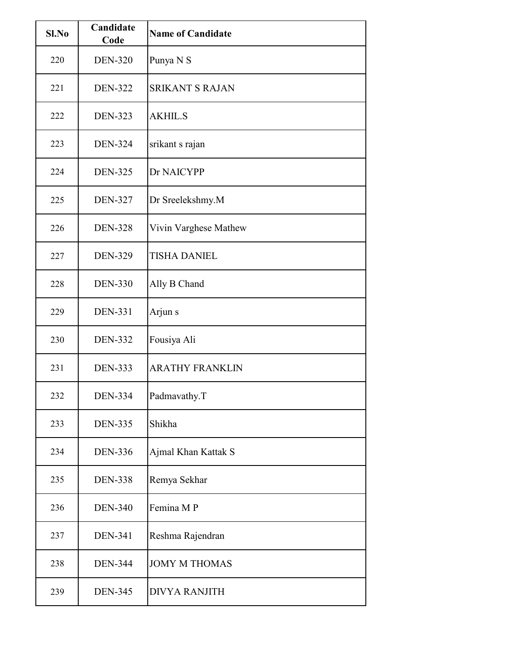| Sl.No | Candidate<br>Code | <b>Name of Candidate</b> |
|-------|-------------------|--------------------------|
| 220   | <b>DEN-320</b>    | Punya N S                |
| 221   | <b>DEN-322</b>    | <b>SRIKANT S RAJAN</b>   |
| 222   | <b>DEN-323</b>    | <b>AKHIL.S</b>           |
| 223   | <b>DEN-324</b>    | srikant s rajan          |
| 224   | <b>DEN-325</b>    | Dr NAICYPP               |
| 225   | <b>DEN-327</b>    | Dr Sreelekshmy.M         |
| 226   | <b>DEN-328</b>    | Vivin Varghese Mathew    |
| 227   | <b>DEN-329</b>    | <b>TISHA DANIEL</b>      |
| 228   | <b>DEN-330</b>    | Ally B Chand             |
| 229   | <b>DEN-331</b>    | Arjun s                  |
| 230   | <b>DEN-332</b>    | Fousiya Ali              |
| 231   | <b>DEN-333</b>    | <b>ARATHY FRANKLIN</b>   |
| 232   | <b>DEN-334</b>    | Padmavathy.T             |
| 233   | <b>DEN-335</b>    | Shikha                   |
| 234   | <b>DEN-336</b>    | Ajmal Khan Kattak S      |
| 235   | <b>DEN-338</b>    | Remya Sekhar             |
| 236   | <b>DEN-340</b>    | Femina MP                |
| 237   | <b>DEN-341</b>    | Reshma Rajendran         |
| 238   | <b>DEN-344</b>    | <b>JOMY M THOMAS</b>     |
| 239   | <b>DEN-345</b>    | <b>DIVYA RANJITH</b>     |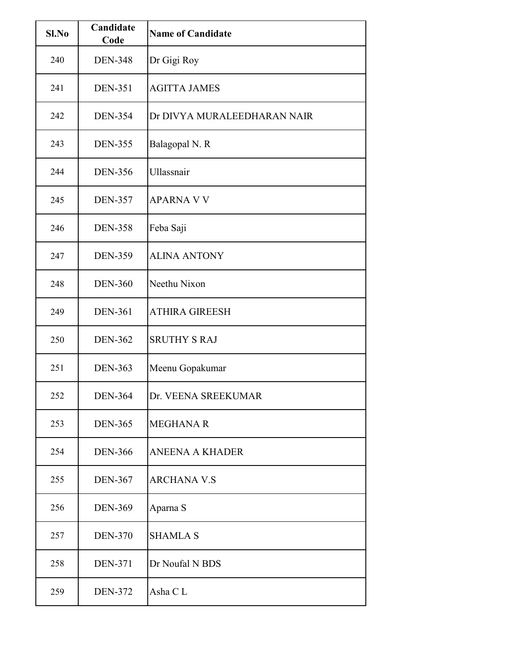| Sl.No | Candidate<br>Code | <b>Name of Candidate</b>    |
|-------|-------------------|-----------------------------|
| 240   | <b>DEN-348</b>    | Dr Gigi Roy                 |
| 241   | <b>DEN-351</b>    | <b>AGITTA JAMES</b>         |
| 242   | <b>DEN-354</b>    | Dr DIVYA MURALEEDHARAN NAIR |
| 243   | <b>DEN-355</b>    | Balagopal N. R              |
| 244   | <b>DEN-356</b>    | Ullassnair                  |
| 245   | <b>DEN-357</b>    | <b>APARNA V V</b>           |
| 246   | <b>DEN-358</b>    | Feba Saji                   |
| 247   | <b>DEN-359</b>    | <b>ALINA ANTONY</b>         |
| 248   | <b>DEN-360</b>    | Neethu Nixon                |
| 249   | <b>DEN-361</b>    | <b>ATHIRA GIREESH</b>       |
| 250   | <b>DEN-362</b>    | <b>SRUTHY S RAJ</b>         |
| 251   | <b>DEN-363</b>    | Meenu Gopakumar             |
| 252   | <b>DEN-364</b>    | Dr. VEENA SREEKUMAR         |
| 253   | <b>DEN-365</b>    | <b>MEGHANA R</b>            |
| 254   | <b>DEN-366</b>    | <b>ANEENA A KHADER</b>      |
| 255   | <b>DEN-367</b>    | <b>ARCHANA V.S</b>          |
| 256   | <b>DEN-369</b>    | Aparna S                    |
| 257   | <b>DEN-370</b>    | <b>SHAMLA S</b>             |
| 258   | <b>DEN-371</b>    | Dr Noufal N BDS             |
| 259   | <b>DEN-372</b>    | Asha CL                     |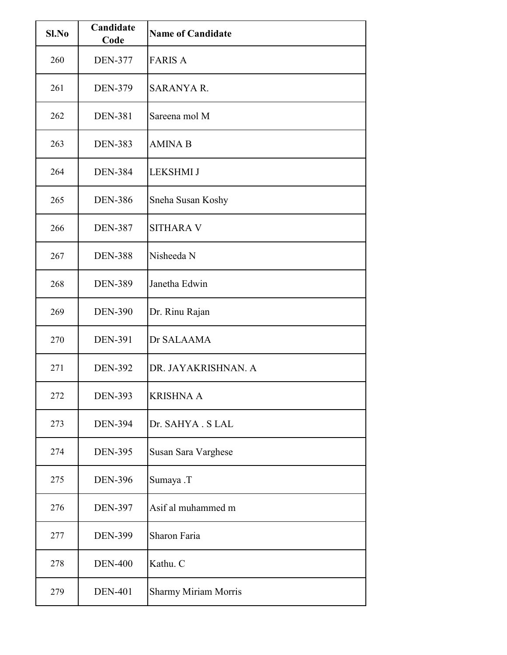| Sl.No | Candidate<br>Code | <b>Name of Candidate</b>    |
|-------|-------------------|-----------------------------|
| 260   | <b>DEN-377</b>    | <b>FARIS A</b>              |
| 261   | <b>DEN-379</b>    | <b>SARANYA R.</b>           |
| 262   | <b>DEN-381</b>    | Sareena mol M               |
| 263   | <b>DEN-383</b>    | <b>AMINA B</b>              |
| 264   | <b>DEN-384</b>    | <b>LEKSHMI J</b>            |
| 265   | <b>DEN-386</b>    | Sneha Susan Koshy           |
| 266   | <b>DEN-387</b>    | <b>SITHARA V</b>            |
| 267   | <b>DEN-388</b>    | Nisheeda N                  |
| 268   | <b>DEN-389</b>    | Janetha Edwin               |
| 269   | <b>DEN-390</b>    | Dr. Rinu Rajan              |
| 270   | <b>DEN-391</b>    | Dr SALAAMA                  |
| 271   | <b>DEN-392</b>    | DR. JAYAKRISHNAN. A         |
| 272   | <b>DEN-393</b>    | <b>KRISHNA A</b>            |
| 273   | <b>DEN-394</b>    | Dr. SAHYA . S LAL           |
| 274   | <b>DEN-395</b>    | Susan Sara Varghese         |
| 275   | <b>DEN-396</b>    | Sumaya .T                   |
| 276   | <b>DEN-397</b>    | Asif al muhammed m          |
| 277   | <b>DEN-399</b>    | Sharon Faria                |
| 278   | <b>DEN-400</b>    | Kathu. C                    |
| 279   | <b>DEN-401</b>    | <b>Sharmy Miriam Morris</b> |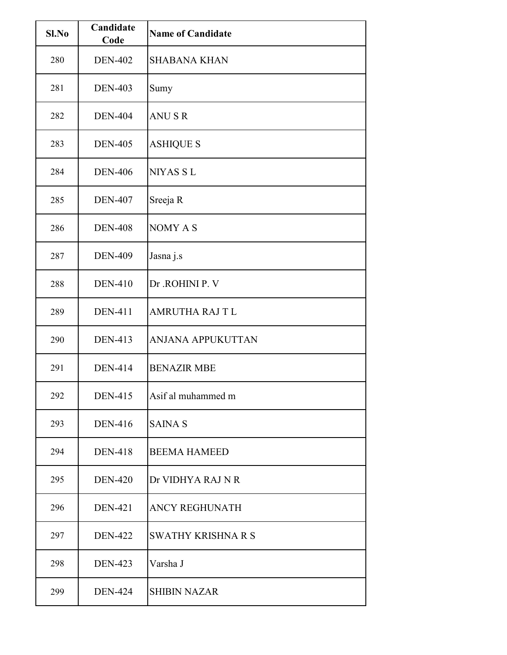| Sl.No | Candidate<br>Code | <b>Name of Candidate</b>  |
|-------|-------------------|---------------------------|
| 280   | <b>DEN-402</b>    | <b>SHABANA KHAN</b>       |
| 281   | <b>DEN-403</b>    | Sumy                      |
| 282   | <b>DEN-404</b>    | <b>ANUSR</b>              |
| 283   | <b>DEN-405</b>    | <b>ASHIQUE S</b>          |
| 284   | <b>DEN-406</b>    | <b>NIYAS SL</b>           |
| 285   | <b>DEN-407</b>    | Sreeja R                  |
| 286   | <b>DEN-408</b>    | NOMY A S                  |
| 287   | <b>DEN-409</b>    | Jasna j.s                 |
| 288   | <b>DEN-410</b>    | Dr .ROHINI P. V           |
| 289   | <b>DEN-411</b>    | <b>AMRUTHA RAJ T L</b>    |
| 290   | <b>DEN-413</b>    | ANJANA APPUKUTTAN         |
| 291   | <b>DEN-414</b>    | <b>BENAZIR MBE</b>        |
| 292   | <b>DEN-415</b>    | Asif al muhammed m        |
| 293   | <b>DEN-416</b>    | <b>SAINA S</b>            |
| 294   | <b>DEN-418</b>    | <b>BEEMA HAMEED</b>       |
| 295   | <b>DEN-420</b>    | Dr VIDHYA RAJ N R         |
| 296   | <b>DEN-421</b>    | <b>ANCY REGHUNATH</b>     |
| 297   | <b>DEN-422</b>    | <b>SWATHY KRISHNA R S</b> |
| 298   | <b>DEN-423</b>    | Varsha J                  |
| 299   | <b>DEN-424</b>    | <b>SHIBIN NAZAR</b>       |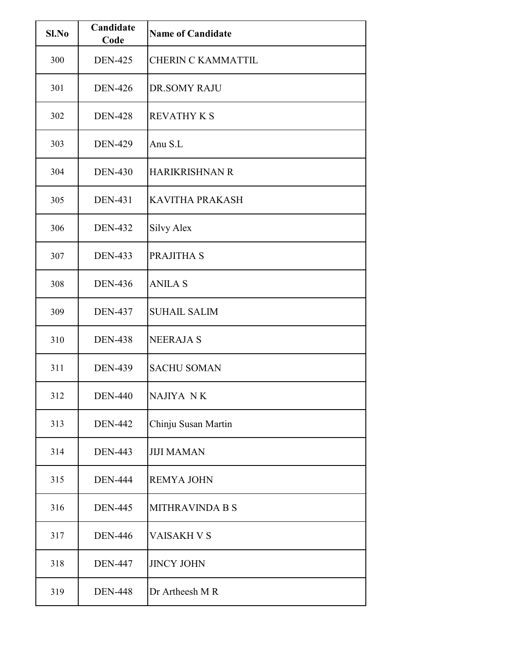| Sl.No | Candidate<br>Code | <b>Name of Candidate</b>  |
|-------|-------------------|---------------------------|
| 300   | <b>DEN-425</b>    | <b>CHERIN C KAMMATTIL</b> |
| 301   | <b>DEN-426</b>    | <b>DR.SOMY RAJU</b>       |
| 302   | <b>DEN-428</b>    | <b>REVATHY K S</b>        |
| 303   | <b>DEN-429</b>    | Anu S.L                   |
| 304   | <b>DEN-430</b>    | <b>HARIKRISHNAN R</b>     |
| 305   | <b>DEN-431</b>    | <b>KAVITHA PRAKASH</b>    |
| 306   | <b>DEN-432</b>    | <b>Silvy Alex</b>         |
| 307   | <b>DEN-433</b>    | PRAJITHA S                |
| 308   | <b>DEN-436</b>    | <b>ANILA S</b>            |
| 309   | <b>DEN-437</b>    | <b>SUHAIL SALIM</b>       |
| 310   | <b>DEN-438</b>    | <b>NEERAJA S</b>          |
| 311   | <b>DEN-439</b>    | <b>SACHU SOMAN</b>        |
| 312   | <b>DEN-440</b>    | NAJIYA NK                 |
| 313   | <b>DEN-442</b>    | Chinju Susan Martin       |
| 314   | <b>DEN-443</b>    | <b>JIJI MAMAN</b>         |
| 315   | <b>DEN-444</b>    | <b>REMYA JOHN</b>         |
| 316   | <b>DEN-445</b>    | <b>MITHRAVINDA B S</b>    |
| 317   | <b>DEN-446</b>    | <b>VAISAKH V S</b>        |
| 318   | <b>DEN-447</b>    | <b>JINCY JOHN</b>         |
| 319   | <b>DEN-448</b>    | Dr Artheesh M R           |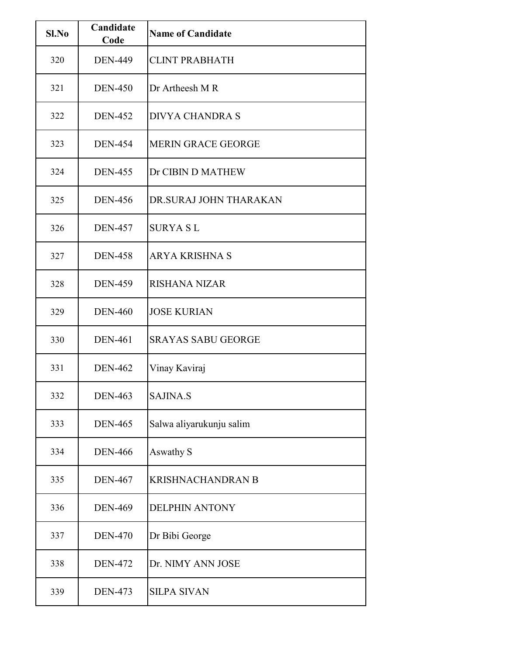| Sl.No | Candidate<br>Code | <b>Name of Candidate</b>  |
|-------|-------------------|---------------------------|
| 320   | <b>DEN-449</b>    | <b>CLINT PRABHATH</b>     |
| 321   | <b>DEN-450</b>    | Dr Artheesh M R           |
| 322   | <b>DEN-452</b>    | <b>DIVYA CHANDRA S</b>    |
| 323   | <b>DEN-454</b>    | <b>MERIN GRACE GEORGE</b> |
| 324   | <b>DEN-455</b>    | Dr CIBIN D MATHEW         |
| 325   | <b>DEN-456</b>    | DR.SURAJ JOHN THARAKAN    |
| 326   | <b>DEN-457</b>    | <b>SURYA SL</b>           |
| 327   | <b>DEN-458</b>    | <b>ARYA KRISHNA S</b>     |
| 328   | <b>DEN-459</b>    | <b>RISHANA NIZAR</b>      |
| 329   | <b>DEN-460</b>    | <b>JOSE KURIAN</b>        |
| 330   | <b>DEN-461</b>    | <b>SRAYAS SABU GEORGE</b> |
| 331   | <b>DEN-462</b>    | Vinay Kaviraj             |
| 332   | <b>DEN-463</b>    | <b>SAJINA.S</b>           |
| 333   | <b>DEN-465</b>    | Salwa aliyarukunju salim  |
| 334   | <b>DEN-466</b>    | Aswathy S                 |
| 335   | <b>DEN-467</b>    | <b>KRISHNACHANDRAN B</b>  |
| 336   | <b>DEN-469</b>    | <b>DELPHIN ANTONY</b>     |
| 337   | <b>DEN-470</b>    | Dr Bibi George            |
| 338   | <b>DEN-472</b>    | Dr. NIMY ANN JOSE         |
| 339   | <b>DEN-473</b>    | <b>SILPA SIVAN</b>        |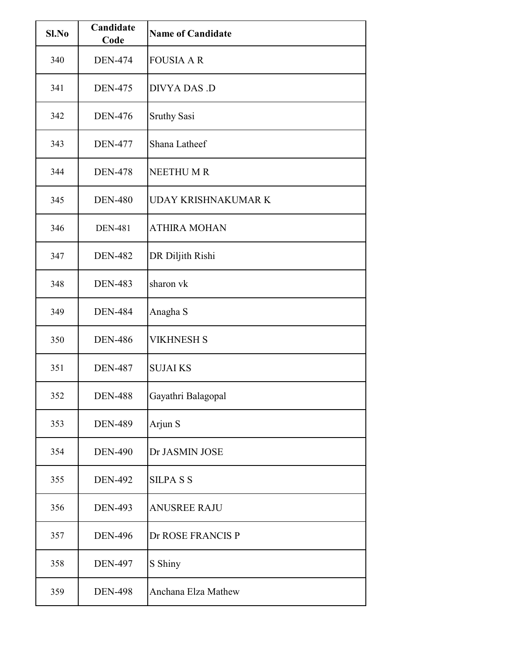| Sl.No | Candidate<br>Code | <b>Name of Candidate</b> |
|-------|-------------------|--------------------------|
| 340   | <b>DEN-474</b>    | <b>FOUSIA A R</b>        |
| 341   | <b>DEN-475</b>    | DIVYA DAS .D             |
| 342   | <b>DEN-476</b>    | <b>Sruthy Sasi</b>       |
| 343   | <b>DEN-477</b>    | Shana Latheef            |
| 344   | <b>DEN-478</b>    | <b>NEETHUMR</b>          |
| 345   | <b>DEN-480</b>    | UDAY KRISHNAKUMAR K      |
| 346   | <b>DEN-481</b>    | <b>ATHIRA MOHAN</b>      |
| 347   | <b>DEN-482</b>    | DR Diljith Rishi         |
| 348   | <b>DEN-483</b>    | sharon vk                |
| 349   | <b>DEN-484</b>    | Anagha S                 |
| 350   | <b>DEN-486</b>    | <b>VIKHNESH S</b>        |
| 351   | <b>DEN-487</b>    | <b>SUJAI KS</b>          |
| 352   | <b>DEN-488</b>    | Gayathri Balagopal       |
| 353   | <b>DEN-489</b>    | Arjun S                  |
| 354   | <b>DEN-490</b>    | Dr JASMIN JOSE           |
| 355   | <b>DEN-492</b>    | <b>SILPASS</b>           |
| 356   | <b>DEN-493</b>    | <b>ANUSREE RAJU</b>      |
| 357   | <b>DEN-496</b>    | Dr ROSE FRANCIS P        |
| 358   | <b>DEN-497</b>    | S Shiny                  |
| 359   | <b>DEN-498</b>    | Anchana Elza Mathew      |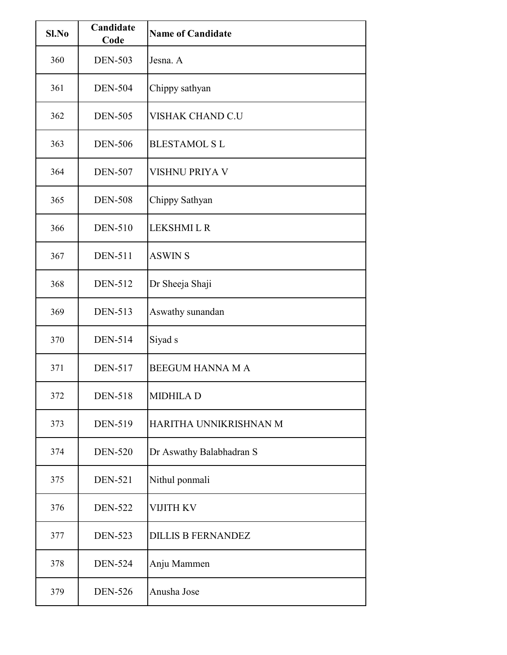| Sl.No | Candidate<br>Code | <b>Name of Candidate</b>  |
|-------|-------------------|---------------------------|
| 360   | <b>DEN-503</b>    | Jesna, A                  |
| 361   | <b>DEN-504</b>    | Chippy sathyan            |
| 362   | <b>DEN-505</b>    | VISHAK CHAND C.U          |
| 363   | <b>DEN-506</b>    | <b>BLESTAMOL S L</b>      |
| 364   | <b>DEN-507</b>    | VISHNU PRIYA V            |
| 365   | <b>DEN-508</b>    | Chippy Sathyan            |
| 366   | <b>DEN-510</b>    | <b>LEKSHMILR</b>          |
| 367   | <b>DEN-511</b>    | <b>ASWIN S</b>            |
| 368   | <b>DEN-512</b>    | Dr Sheeja Shaji           |
| 369   | <b>DEN-513</b>    | Aswathy sunandan          |
| 370   | <b>DEN-514</b>    | Siyad s                   |
| 371   | <b>DEN-517</b>    | <b>BEEGUM HANNA M A</b>   |
| 372   | <b>DEN-518</b>    | <b>MIDHILA D</b>          |
| 373   | <b>DEN-519</b>    | HARITHA UNNIKRISHNAN M    |
| 374   | <b>DEN-520</b>    | Dr Aswathy Balabhadran S  |
| 375   | <b>DEN-521</b>    | Nithul ponmali            |
| 376   | <b>DEN-522</b>    | VIJITH KV                 |
| 377   | <b>DEN-523</b>    | <b>DILLIS B FERNANDEZ</b> |
| 378   | <b>DEN-524</b>    | Anju Mammen               |
| 379   | <b>DEN-526</b>    | Anusha Jose               |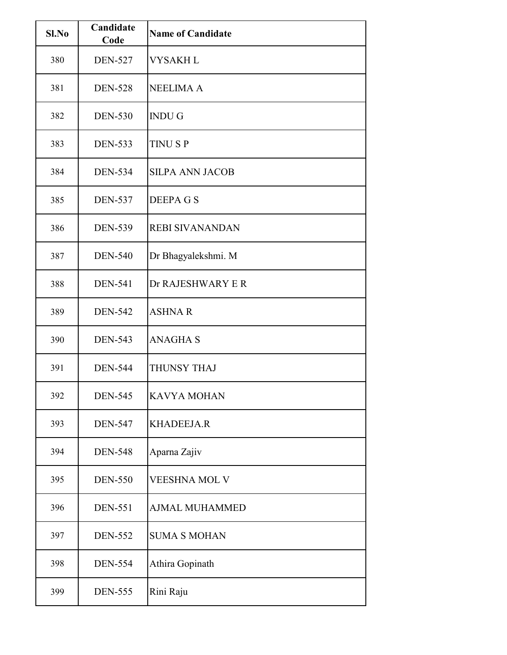| Sl.No | Candidate<br>Code | <b>Name of Candidate</b> |
|-------|-------------------|--------------------------|
| 380   | <b>DEN-527</b>    | <b>VYSAKHL</b>           |
| 381   | <b>DEN-528</b>    | <b>NEELIMA A</b>         |
| 382   | <b>DEN-530</b>    | <b>INDUG</b>             |
| 383   | <b>DEN-533</b>    | <b>TINUSP</b>            |
| 384   | <b>DEN-534</b>    | <b>SILPA ANN JACOB</b>   |
| 385   | <b>DEN-537</b>    | <b>DEEPAGS</b>           |
| 386   | <b>DEN-539</b>    | <b>REBI SIVANANDAN</b>   |
| 387   | <b>DEN-540</b>    | Dr Bhagyalekshmi. M      |
| 388   | <b>DEN-541</b>    | Dr RAJESHWARY E R        |
| 389   | <b>DEN-542</b>    | <b>ASHNAR</b>            |
| 390   | <b>DEN-543</b>    | <b>ANAGHA S</b>          |
| 391   | <b>DEN-544</b>    | THUNSY THAJ              |
| 392   | <b>DEN-545</b>    | <b>KAVYA MOHAN</b>       |
| 393   | <b>DEN-547</b>    | <b>KHADEEJA.R</b>        |
| 394   | <b>DEN-548</b>    | Aparna Zajiv             |
| 395   | <b>DEN-550</b>    | <b>VEESHNA MOL V</b>     |
| 396   | <b>DEN-551</b>    | <b>AJMAL MUHAMMED</b>    |
| 397   | <b>DEN-552</b>    | <b>SUMA S MOHAN</b>      |
| 398   | <b>DEN-554</b>    | Athira Gopinath          |
| 399   | <b>DEN-555</b>    | Rini Raju                |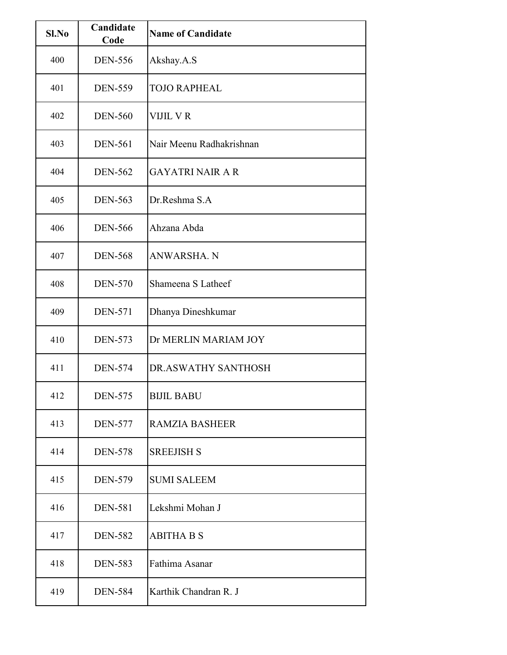| Sl.No | Candidate<br>Code | <b>Name of Candidate</b> |
|-------|-------------------|--------------------------|
| 400   | <b>DEN-556</b>    | Akshay.A.S               |
| 401   | <b>DEN-559</b>    | <b>TOJO RAPHEAL</b>      |
| 402   | <b>DEN-560</b>    | VIJIL V R                |
| 403   | <b>DEN-561</b>    | Nair Meenu Radhakrishnan |
| 404   | <b>DEN-562</b>    | <b>GAYATRI NAIR A R</b>  |
| 405   | <b>DEN-563</b>    | Dr.Reshma S.A            |
| 406   | <b>DEN-566</b>    | Ahzana Abda              |
| 407   | <b>DEN-568</b>    | ANWARSHA. N              |
| 408   | <b>DEN-570</b>    | Shameena S Latheef       |
| 409   | <b>DEN-571</b>    | Dhanya Dineshkumar       |
| 410   | <b>DEN-573</b>    | Dr MERLIN MARIAM JOY     |
| 411   | <b>DEN-574</b>    | DR.ASWATHY SANTHOSH      |
| 412   | <b>DEN-575</b>    | <b>BIJIL BABU</b>        |
| 413   | <b>DEN-577</b>    | <b>RAMZIA BASHEER</b>    |
| 414   | <b>DEN-578</b>    | <b>SREEJISH S</b>        |
| 415   | <b>DEN-579</b>    | <b>SUMI SALEEM</b>       |
| 416   | <b>DEN-581</b>    | Lekshmi Mohan J          |
| 417   | <b>DEN-582</b>    | <b>ABITHA B S</b>        |
| 418   | <b>DEN-583</b>    | Fathima Asanar           |
| 419   | <b>DEN-584</b>    | Karthik Chandran R. J    |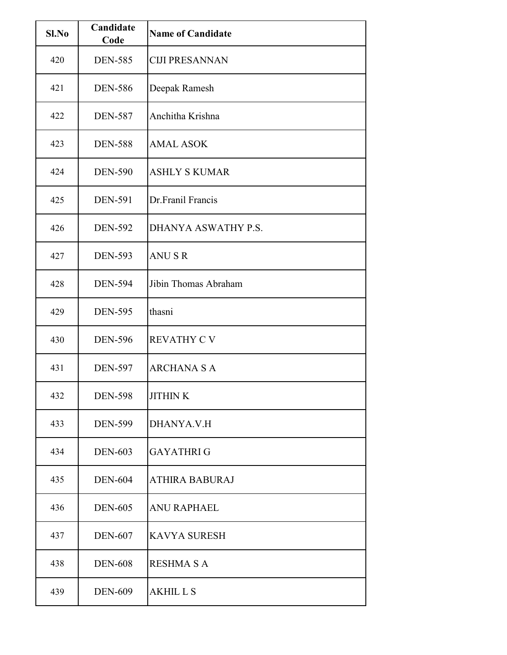| Sl.No | Candidate<br>Code | <b>Name of Candidate</b> |
|-------|-------------------|--------------------------|
| 420   | <b>DEN-585</b>    | <b>CIJI PRESANNAN</b>    |
| 421   | <b>DEN-586</b>    | Deepak Ramesh            |
| 422   | <b>DEN-587</b>    | Anchitha Krishna         |
| 423   | <b>DEN-588</b>    | <b>AMAL ASOK</b>         |
| 424   | <b>DEN-590</b>    | <b>ASHLY S KUMAR</b>     |
| 425   | <b>DEN-591</b>    | Dr.Franil Francis        |
| 426   | <b>DEN-592</b>    | DHANYA ASWATHY P.S.      |
| 427   | <b>DEN-593</b>    | <b>ANUSR</b>             |
| 428   | <b>DEN-594</b>    | Jibin Thomas Abraham     |
| 429   | <b>DEN-595</b>    | thasni                   |
| 430   | <b>DEN-596</b>    | <b>REVATHY C V</b>       |
| 431   | <b>DEN-597</b>    | <b>ARCHANA S A</b>       |
| 432   | <b>DEN-598</b>    | <b>JITHINK</b>           |
| 433   | <b>DEN-599</b>    | DHANYA.V.H               |
| 434   | <b>DEN-603</b>    | <b>GAYATHRIG</b>         |
| 435   | <b>DEN-604</b>    | <b>ATHIRA BABURAJ</b>    |
| 436   | <b>DEN-605</b>    | <b>ANU RAPHAEL</b>       |
| 437   | <b>DEN-607</b>    | <b>KAVYA SURESH</b>      |
| 438   | <b>DEN-608</b>    | <b>RESHMA S A</b>        |
| 439   | <b>DEN-609</b>    | <b>AKHILLS</b>           |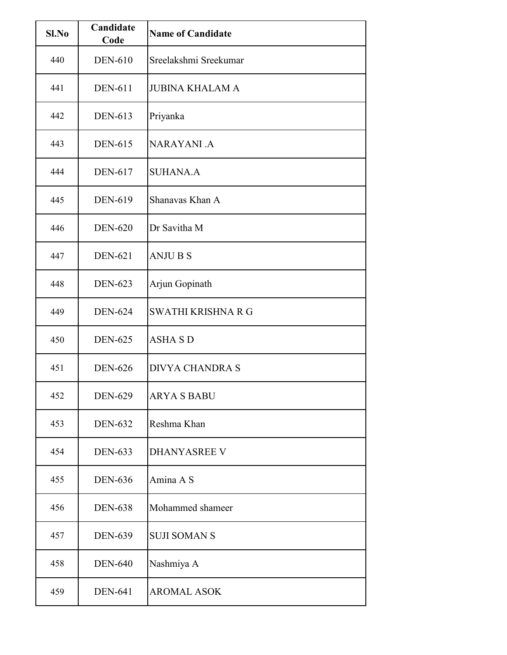| Sl.No | Candidate<br>Code | <b>Name of Candidate</b> |
|-------|-------------------|--------------------------|
| 440   | <b>DEN-610</b>    | Sreelakshmi Sreekumar    |
| 441   | <b>DEN-611</b>    | <b>JUBINA KHALAM A</b>   |
| 442   | DEN-613           | Priyanka                 |
| 443   | <b>DEN-615</b>    | <b>NARAYANI.A</b>        |
| 444   | <b>DEN-617</b>    | <b>SUHANA.A</b>          |
| 445   | <b>DEN-619</b>    | Shanavas Khan A          |
| 446   | <b>DEN-620</b>    | Dr Savitha M             |
| 447   | <b>DEN-621</b>    | <b>ANJUBS</b>            |
| 448   | <b>DEN-623</b>    | Arjun Gopinath           |
| 449   | <b>DEN-624</b>    | SWATHI KRISHNA R G       |
| 450   | <b>DEN-625</b>    | <b>ASHA S D</b>          |
| 451   | <b>DEN-626</b>    | <b>DIVYA CHANDRA S</b>   |
| 452   | <b>DEN-629</b>    | <b>ARYA S BABU</b>       |
| 453   | <b>DEN-632</b>    | Reshma Khan              |
| 454   | <b>DEN-633</b>    | <b>DHANYASREE V</b>      |
| 455   | <b>DEN-636</b>    | Amina A S                |
| 456   | <b>DEN-638</b>    | Mohammed shameer         |
| 457   | <b>DEN-639</b>    | <b>SUJI SOMAN S</b>      |
| 458   | <b>DEN-640</b>    | Nashmiya A               |
| 459   | <b>DEN-641</b>    | <b>AROMAL ASOK</b>       |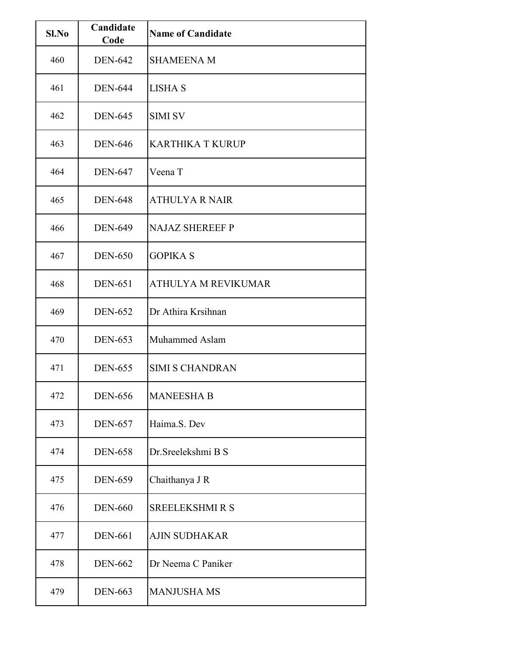| Sl.No | Candidate<br>Code | <b>Name of Candidate</b>   |
|-------|-------------------|----------------------------|
| 460   | <b>DEN-642</b>    | <b>SHAMEENA M</b>          |
| 461   | <b>DEN-644</b>    | <b>LISHA S</b>             |
| 462   | <b>DEN-645</b>    | <b>SIMI SV</b>             |
| 463   | <b>DEN-646</b>    | <b>KARTHIKA T KURUP</b>    |
| 464   | <b>DEN-647</b>    | Veena T                    |
| 465   | <b>DEN-648</b>    | <b>ATHULYA R NAIR</b>      |
| 466   | <b>DEN-649</b>    | <b>NAJAZ SHEREEF P</b>     |
| 467   | <b>DEN-650</b>    | <b>GOPIKA S</b>            |
| 468   | <b>DEN-651</b>    | <b>ATHULYA M REVIKUMAR</b> |
| 469   | <b>DEN-652</b>    | Dr Athira Krsihnan         |
| 470   | <b>DEN-653</b>    | Muhammed Aslam             |
| 471   | <b>DEN-655</b>    | <b>SIMI S CHANDRAN</b>     |
| 472   | <b>DEN-656</b>    | <b>MANEESHA B</b>          |
| 473   | <b>DEN-657</b>    | Haima.S. Dev               |
| 474   | <b>DEN-658</b>    | Dr. Sreelekshmi B S        |
| 475   | <b>DEN-659</b>    | Chaithanya J R             |
| 476   | <b>DEN-660</b>    | <b>SREELEKSHMI R S</b>     |
| 477   | <b>DEN-661</b>    | <b>AJIN SUDHAKAR</b>       |
| 478   | <b>DEN-662</b>    | Dr Neema C Paniker         |
| 479   | <b>DEN-663</b>    | <b>MANJUSHA MS</b>         |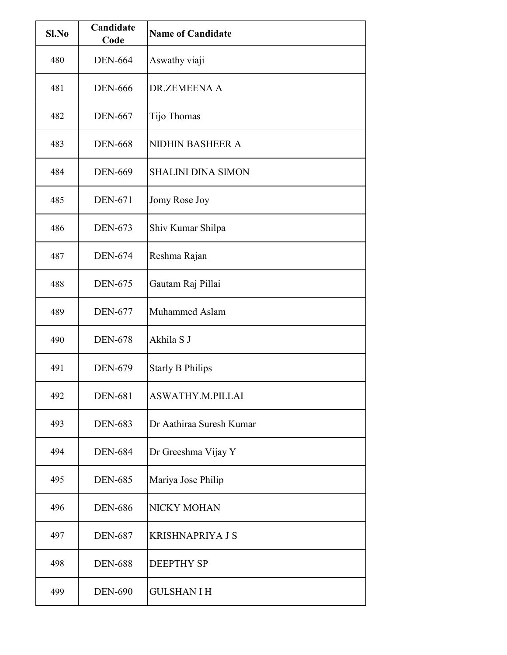| Sl.No | Candidate<br>Code | <b>Name of Candidate</b>  |
|-------|-------------------|---------------------------|
| 480   | <b>DEN-664</b>    | Aswathy viaji             |
| 481   | <b>DEN-666</b>    | DR.ZEMEENA A              |
| 482   | <b>DEN-667</b>    | Tijo Thomas               |
| 483   | <b>DEN-668</b>    | <b>NIDHIN BASHEER A</b>   |
| 484   | <b>DEN-669</b>    | <b>SHALINI DINA SIMON</b> |
| 485   | <b>DEN-671</b>    | Jomy Rose Joy             |
| 486   | <b>DEN-673</b>    | Shiv Kumar Shilpa         |
| 487   | <b>DEN-674</b>    | Reshma Rajan              |
| 488   | <b>DEN-675</b>    | Gautam Raj Pillai         |
| 489   | <b>DEN-677</b>    | Muhammed Aslam            |
| 490   | <b>DEN-678</b>    | Akhila S J                |
| 491   | <b>DEN-679</b>    | <b>Starly B Philips</b>   |
| 492   | <b>DEN-681</b>    | ASWATHY.M.PILLAI          |
| 493   | <b>DEN-683</b>    | Dr Aathiraa Suresh Kumar  |
| 494   | <b>DEN-684</b>    | Dr Greeshma Vijay Y       |
| 495   | <b>DEN-685</b>    | Mariya Jose Philip        |
| 496   | <b>DEN-686</b>    | NICKY MOHAN               |
| 497   | <b>DEN-687</b>    | <b>KRISHNAPRIYA J S</b>   |
| 498   | <b>DEN-688</b>    | <b>DEEPTHY SP</b>         |
| 499   | <b>DEN-690</b>    | <b>GULSHAN I H</b>        |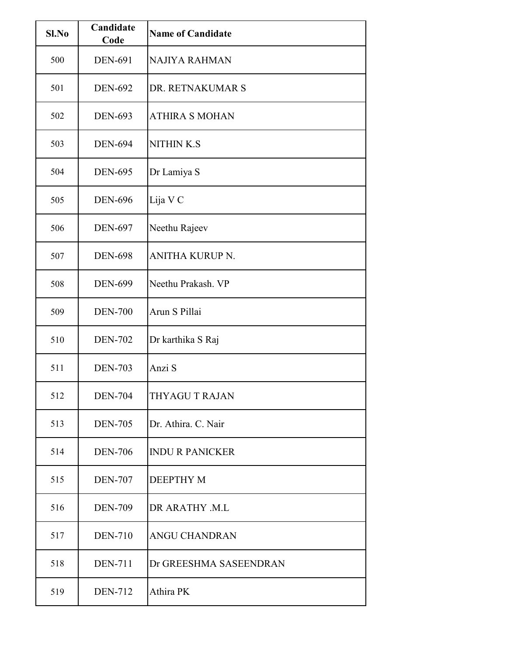| Sl.No | Candidate<br>Code | <b>Name of Candidate</b> |
|-------|-------------------|--------------------------|
| 500   | <b>DEN-691</b>    | NAJIYA RAHMAN            |
| 501   | <b>DEN-692</b>    | DR. RETNAKUMAR S         |
| 502   | <b>DEN-693</b>    | <b>ATHIRA S MOHAN</b>    |
| 503   | <b>DEN-694</b>    | <b>NITHIN K.S</b>        |
| 504   | <b>DEN-695</b>    | Dr Lamiya S              |
| 505   | <b>DEN-696</b>    | Lija V C                 |
| 506   | <b>DEN-697</b>    | Neethu Rajeev            |
| 507   | <b>DEN-698</b>    | <b>ANITHA KURUP N.</b>   |
| 508   | <b>DEN-699</b>    | Neethu Prakash. VP       |
| 509   | <b>DEN-700</b>    | Arun S Pillai            |
| 510   | <b>DEN-702</b>    | Dr karthika S Raj        |
| 511   | <b>DEN-703</b>    | Anzi S                   |
| 512   | <b>DEN-704</b>    | THYAGU T RAJAN           |
| 513   | <b>DEN-705</b>    | Dr. Athira. C. Nair      |
| 514   | <b>DEN-706</b>    | <b>INDU R PANICKER</b>   |
| 515   | <b>DEN-707</b>    | <b>DEEPTHY M</b>         |
| 516   | <b>DEN-709</b>    | DR ARATHY .M.L           |
| 517   | <b>DEN-710</b>    | ANGU CHANDRAN            |
| 518   | <b>DEN-711</b>    | Dr GREESHMA SASEENDRAN   |
| 519   | <b>DEN-712</b>    | Athira PK                |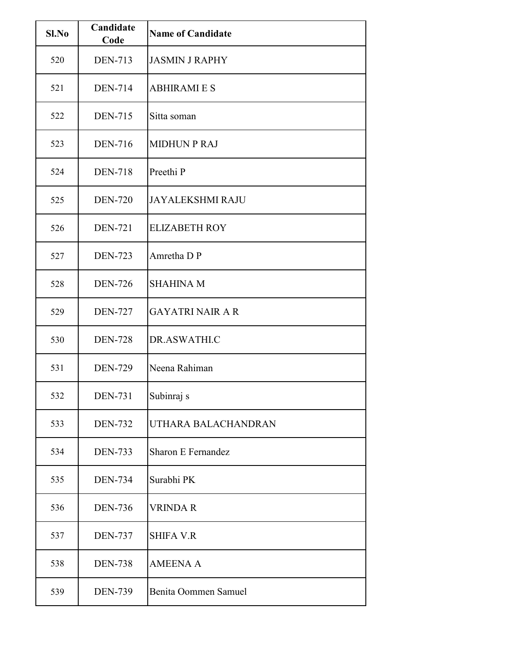| Sl.No | Candidate<br>Code | <b>Name of Candidate</b>  |
|-------|-------------------|---------------------------|
| 520   | <b>DEN-713</b>    | <b>JASMIN J RAPHY</b>     |
| 521   | <b>DEN-714</b>    | <b>ABHIRAMIES</b>         |
| 522   | <b>DEN-715</b>    | Sitta soman               |
| 523   | <b>DEN-716</b>    | <b>MIDHUN P RAJ</b>       |
| 524   | <b>DEN-718</b>    | Preethi P                 |
| 525   | <b>DEN-720</b>    | <b>JAYALEKSHMI RAJU</b>   |
| 526   | <b>DEN-721</b>    | <b>ELIZABETH ROY</b>      |
| 527   | <b>DEN-723</b>    | Amretha D P               |
| 528   | <b>DEN-726</b>    | <b>SHAHINA M</b>          |
| 529   | <b>DEN-727</b>    | <b>GAYATRI NAIR A R</b>   |
| 530   | <b>DEN-728</b>    | DR.ASWATHI.C              |
| 531   | <b>DEN-729</b>    | Neena Rahiman             |
| 532   | <b>DEN-731</b>    | Subinraj s                |
| 533   | <b>DEN-732</b>    | UTHARA BALACHANDRAN       |
| 534   | <b>DEN-733</b>    | <b>Sharon E Fernandez</b> |
| 535   | <b>DEN-734</b>    | Surabhi PK                |
| 536   | <b>DEN-736</b>    | <b>VRINDA R</b>           |
| 537   | <b>DEN-737</b>    | <b>SHIFA V.R</b>          |
| 538   | <b>DEN-738</b>    | <b>AMEENA A</b>           |
| 539   | <b>DEN-739</b>    | Benita Oommen Samuel      |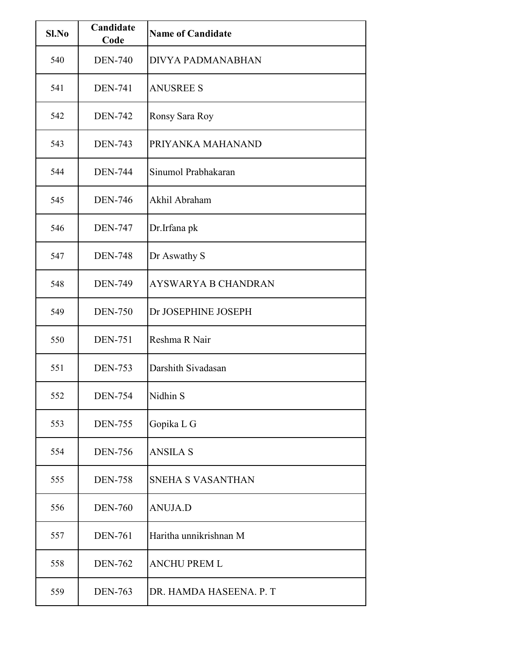| Sl.No | Candidate<br>Code | <b>Name of Candidate</b>   |
|-------|-------------------|----------------------------|
| 540   | <b>DEN-740</b>    | DIVYA PADMANABHAN          |
| 541   | <b>DEN-741</b>    | <b>ANUSREE S</b>           |
| 542   | <b>DEN-742</b>    | Ronsy Sara Roy             |
| 543   | <b>DEN-743</b>    | PRIYANKA MAHANAND          |
| 544   | <b>DEN-744</b>    | Sinumol Prabhakaran        |
| 545   | <b>DEN-746</b>    | Akhil Abraham              |
| 546   | <b>DEN-747</b>    | Dr.Irfana pk               |
| 547   | <b>DEN-748</b>    | Dr Aswathy S               |
| 548   | <b>DEN-749</b>    | <b>AYSWARYA B CHANDRAN</b> |
| 549   | <b>DEN-750</b>    | Dr JOSEPHINE JOSEPH        |
| 550   | <b>DEN-751</b>    | Reshma R Nair              |
| 551   | <b>DEN-753</b>    | Darshith Sivadasan         |
| 552   | <b>DEN-754</b>    | Nidhin S                   |
| 553   | <b>DEN-755</b>    | Gopika L G                 |
| 554   | <b>DEN-756</b>    | <b>ANSILA S</b>            |
| 555   | <b>DEN-758</b>    | <b>SNEHA S VASANTHAN</b>   |
| 556   | <b>DEN-760</b>    | <b>ANUJA.D</b>             |
| 557   | <b>DEN-761</b>    | Haritha unnikrishnan M     |
| 558   | <b>DEN-762</b>    | ANCHU PREM L               |
| 559   | <b>DEN-763</b>    | DR. HAMDA HASEENA. P. T    |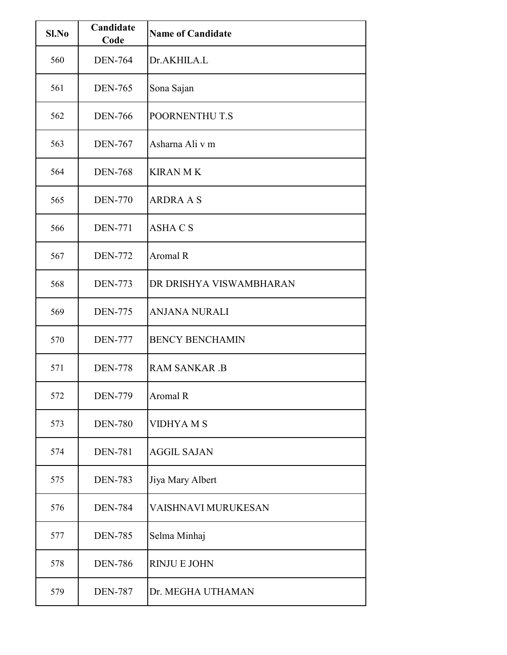| Sl.No | Candidate<br>Code | <b>Name of Candidate</b> |
|-------|-------------------|--------------------------|
| 560   | <b>DEN-764</b>    | Dr.AKHILA.L              |
| 561   | <b>DEN-765</b>    | Sona Sajan               |
| 562   | <b>DEN-766</b>    | POORNENTHU T.S           |
| 563   | <b>DEN-767</b>    | Asharna Ali v m          |
| 564   | <b>DEN-768</b>    | <b>KIRAN MK</b>          |
| 565   | <b>DEN-770</b>    | <b>ARDRA A S</b>         |
| 566   | <b>DEN-771</b>    | <b>ASHACS</b>            |
| 567   | <b>DEN-772</b>    | Aromal R                 |
| 568   | <b>DEN-773</b>    | DR DRISHYA VISWAMBHARAN  |
| 569   | <b>DEN-775</b>    | <b>ANJANA NURALI</b>     |
| 570   | <b>DEN-777</b>    | <b>BENCY BENCHAMIN</b>   |
| 571   | <b>DEN-778</b>    | <b>RAM SANKAR .B</b>     |
| 572   | <b>DEN-779</b>    | Aromal R                 |
| 573   | <b>DEN-780</b>    | VIDHYA M S               |
| 574   | <b>DEN-781</b>    | <b>AGGIL SAJAN</b>       |
| 575   | <b>DEN-783</b>    | Jiya Mary Albert         |
| 576   | <b>DEN-784</b>    | VAISHNAVI MURUKESAN      |
| 577   | <b>DEN-785</b>    | Selma Minhaj             |
| 578   | <b>DEN-786</b>    | <b>RINJUE JOHN</b>       |
| 579   | <b>DEN-787</b>    | Dr. MEGHA UTHAMAN        |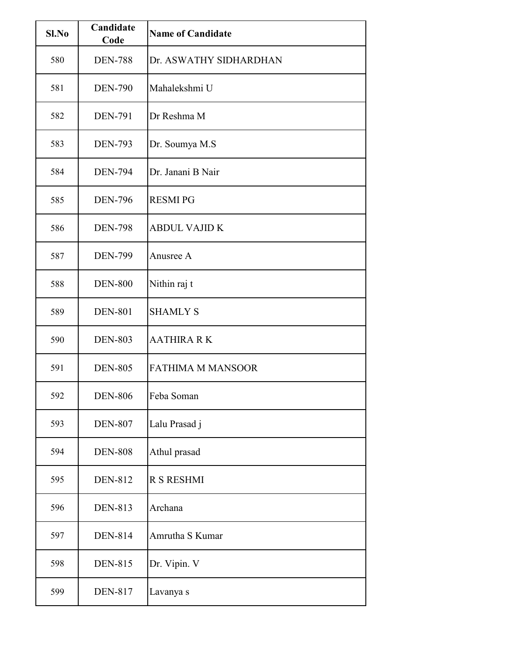| Sl.No | Candidate<br>Code | <b>Name of Candidate</b> |
|-------|-------------------|--------------------------|
| 580   | <b>DEN-788</b>    | Dr. ASWATHY SIDHARDHAN   |
| 581   | <b>DEN-790</b>    | Mahalekshmi U            |
| 582   | <b>DEN-791</b>    | Dr Reshma M              |
| 583   | <b>DEN-793</b>    | Dr. Soumya M.S           |
| 584   | <b>DEN-794</b>    | Dr. Janani B Nair        |
| 585   | <b>DEN-796</b>    | <b>RESMI PG</b>          |
| 586   | <b>DEN-798</b>    | <b>ABDUL VAJID K</b>     |
| 587   | <b>DEN-799</b>    | Anusree A                |
| 588   | <b>DEN-800</b>    | Nithin raj t             |
| 589   | <b>DEN-801</b>    | <b>SHAMLY S</b>          |
| 590   | <b>DEN-803</b>    | <b>AATHIRA RK</b>        |
| 591   | <b>DEN-805</b>    | <b>FATHIMA M MANSOOR</b> |
| 592   | <b>DEN-806</b>    | Feba Soman               |
| 593   | <b>DEN-807</b>    | Lalu Prasad j            |
| 594   | <b>DEN-808</b>    | Athul prasad             |
| 595   | <b>DEN-812</b>    | <b>R S RESHMI</b>        |
| 596   | <b>DEN-813</b>    | Archana                  |
| 597   | <b>DEN-814</b>    | Amrutha S Kumar          |
| 598   | <b>DEN-815</b>    | Dr. Vipin. V             |
| 599   | <b>DEN-817</b>    | Lavanya s                |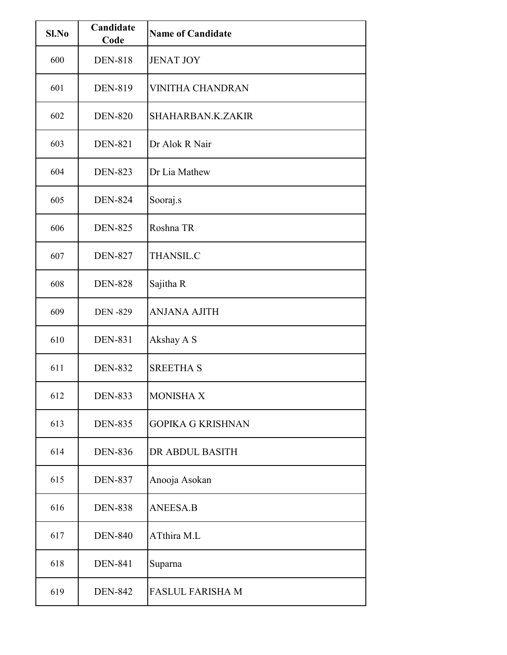| Sl.No | Candidate<br>Code | <b>Name of Candidate</b> |
|-------|-------------------|--------------------------|
| 600   | <b>DEN-818</b>    | <b>JENAT JOY</b>         |
| 601   | <b>DEN-819</b>    | <b>VINITHA CHANDRAN</b>  |
| 602   | <b>DEN-820</b>    | SHAHARBAN.K.ZAKIR        |
| 603   | <b>DEN-821</b>    | Dr Alok R Nair           |
| 604   | <b>DEN-823</b>    | Dr Lia Mathew            |
| 605   | <b>DEN-824</b>    | Sooraj.s                 |
| 606   | <b>DEN-825</b>    | Roshna TR                |
| 607   | <b>DEN-827</b>    | <b>THANSIL.C</b>         |
| 608   | <b>DEN-828</b>    | Sajitha R                |
| 609   | <b>DEN-829</b>    | <b>ANJANA AJITH</b>      |
| 610   | <b>DEN-831</b>    | Akshay A S               |
| 611   | <b>DEN-832</b>    | <b>SREETHA S</b>         |
| 612   | <b>DEN-833</b>    | <b>MONISHA X</b>         |
| 613   | <b>DEN-835</b>    | <b>GOPIKA G KRISHNAN</b> |
| 614   | <b>DEN-836</b>    | DR ABDUL BASITH          |
| 615   | <b>DEN-837</b>    | Anooja Asokan            |
| 616   | <b>DEN-838</b>    | <b>ANEESA.B</b>          |
| 617   | <b>DEN-840</b>    | ATthira M.L              |
| 618   | <b>DEN-841</b>    | Suparna                  |
| 619   | <b>DEN-842</b>    | <b>FASLUL FARISHA M</b>  |